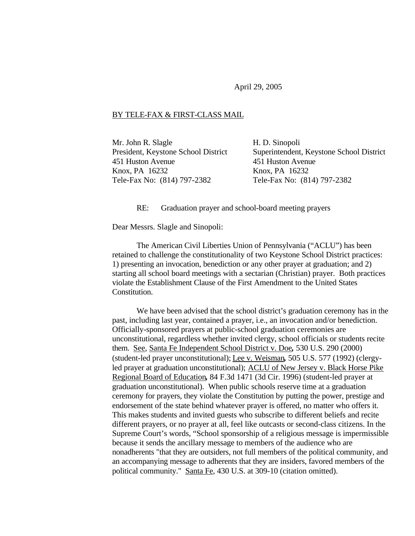April 29, 2005

## BY TELE-FAX & FIRST-CLASS MAIL

Mr. John R. Slagle President, Keystone School District 451 Huston Avenue Knox, PA 16232 Tele-Fax No: (814) 797-2382

H. D. Sinopoli Superintendent, Keystone School District 451 Huston Avenue Knox, PA 16232 Tele-Fax No: (814) 797-2382

RE: Graduation prayer and school-board meeting prayers

Dear Messrs. Slagle and Sinopoli:

The American Civil Liberties Union of Pennsylvania ("ACLU") has been retained to challenge the constitutionality of two Keystone School District practices: 1) presenting an invocation, benediction or any other prayer at graduation; and 2) starting all school board meetings with a sectarian (Christian) prayer. Both practices violate the Establishment Clause of the First Amendment to the United States Constitution.

We have been advised that the school district's graduation ceremony has in the past, including last year, contained a prayer, i.e., an invocation and/or benediction. Officially-sponsored prayers at public-school graduation ceremonies are unconstitutional, regardless whether invited clergy, school officials or students recite them. See, Santa Fe Independent School District v. Doe*,* 530 U.S. 290 (2000) (student-led prayer unconstitutional); Lee v. Weisman*,* 505 U.S. 577 (1992) (clergyled prayer at graduation unconstitutional); ACLU of New Jersey v. Black Horse Pike Regional Board of Education*,* 84 F.3d 1471 (3d Cir. 1996) (student-led prayer at graduation unconstitutional). When public schools reserve time at a graduation ceremony for prayers, they violate the Constitution by putting the power, prestige and endorsement of the state behind whatever prayer is offered, no matter who offers it. This makes students and invited guests who subscribe to different beliefs and recite different prayers, or no prayer at all, feel like outcasts or second-class citizens. In the Supreme Court's words, "School sponsorship of a religious message is impermissible because it sends the ancillary message to members of the audience who are nonadherents "that they are outsiders, not full members of the political community, and an accompanying message to adherents that they are insiders, favored members of the political community." Santa Fe, 430 U.S. at 309-10 (citation omitted).